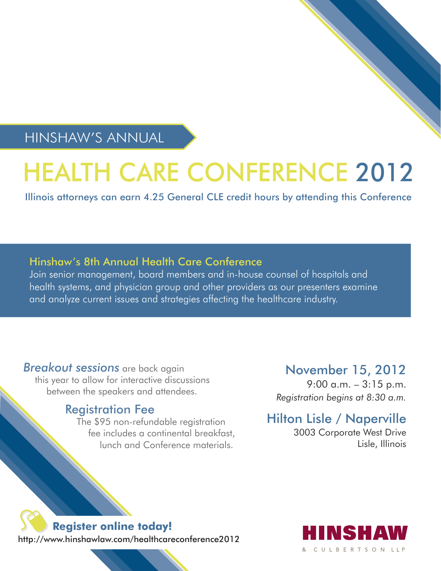HINSHAW'S ANNUAL

# HEALTH CARE CONFERENCE 2012

Illinois attorneys can earn 4.25 General CLE credit hours by attending this Conference

# Hinshaw's 8th Annual Health Care Conference

Join senior management, board members and in-house counsel of hospitals and health systems, and physician group and other providers as our presenters examine and analyze current issues and strategies affecting the healthcare industry.

*Breakout sessions* are back again this year to allow for interactive discussions between the speakers and attendees.

# Registration Fee

The \$95 non-refundable registration fee includes a continental breakfast, lunch and Conference materials.

# November 15, 2012

9:00 a.m. – 3:15 p.m. *Registration begins at 8:30 a.m.*

Hilton Lisle / Naperville

3003 Corporate West Drive Lisle, Illinois

# **Register online today!**

http://www.hinshawlaw.com/healthcareconference2012

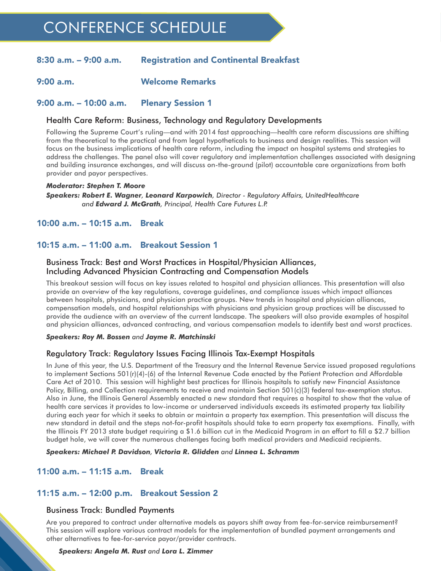# CONFERENCE SCHEDULE

#### 8:30 a.m. – 9:00 a.m. Registration and Continental Breakfast

9:00 a.m. Welcome Remarks

#### 9:00 a.m. – 10:00 a.m. Plenary Session 1

#### Health Care Reform: Business, Technology and Regulatory Developments

Following the Supreme Court's ruling—and with 2014 fast approaching—health care reform discussions are shifting from the theoretical to the practical and from legal hypotheticals to business and design realities. This session will focus on the business implications of health care reform, including the impact on hospital systems and strategies to address the challenges. The panel also will cover regulatory and implementation challenges associated with designing and building insurance exchanges, and will discuss on-the-ground (pilot) accountable care organizations from both provider and payor perspectives.

#### *Moderator: Stephen T. Moore*

*Speakers: Robert E. Wagner, Leonard Karpowich, Director - Regulatory Affairs, UnitedHealthcare and Edward J. McGrath, Principal, Health Care Futures L.P.*

#### 10:00 a.m. – 10:15 a.m. Break

#### 10:15 a.m. – 11:00 a.m. Breakout Session 1

#### Business Track: Best and Worst Practices in Hospital/Physician Alliances, Including Advanced Physician Contracting and Compensation Models

This breakout session will focus on key issues related to hospital and physician alliances. This presentation will also provide an overview of the key regulations, coverage guidelines, and compliance issues which impact alliances between hospitals, physicians, and physician practice groups. New trends in hospital and physician alliances, compensation models, and hospital relationships with physicians and physician group practices will be discussed to provide the audience with an overview of the current landscape. The speakers will also provide examples of hospital and physician alliances, advanced contracting, and various compensation models to identify best and worst practices.

#### *Speakers: Roy M. Bossen and Jayme R. Matchinski*

#### Regulatory Track: Regulatory Issues Facing Illinois Tax-Exempt Hospitals

In June of this year, the U.S. Department of the Treasury and the Internal Revenue Service issued proposed regulations to implement Sections 501(r)(4)-(6) of the Internal Revenue Code enacted by the Patient Protection and Affordable Care Act of 2010. This session will highlight best practices for Illinois hospitals to satisfy new Financial Assistance Policy, Billing, and Collection requirements to receive and maintain Section 501(c)(3) federal tax-exemption status. Also in June, the Illinois General Assembly enacted a new standard that requires a hospital to show that the value of health care services it provides to low-income or underserved individuals exceeds its estimated property tax liability during each year for which it seeks to obtain or maintain a property tax exemption. This presentation will discuss the new standard in detail and the steps not-for-profit hospitals should take to earn property tax exemptions. Finally, with the Illinois FY 2013 state budget requiring a \$1.6 billion cut in the Medicaid Program in an effort to fill a \$2.7 billion budget hole, we will cover the numerous challenges facing both medical providers and Medicaid recipients.

#### *Speakers: Michael P. Davidson, Victoria R. Glidden and Linnea L. Schramm*

# 11:00 a.m. – 11:15 a.m. Break

# 11:15 a.m. – 12:00 p.m. Breakout Session 2

#### Business Track: Bundled Payments

Are you prepared to contract under alternative models as payors shift away from fee-for-service reimbursement? This session will explore various contract models for the implementation of bundled payment arrangements and other alternatives to fee-for-service payor/provider contracts.

#### *Speakers: Angela M. Rust and Lora L. Zimmer*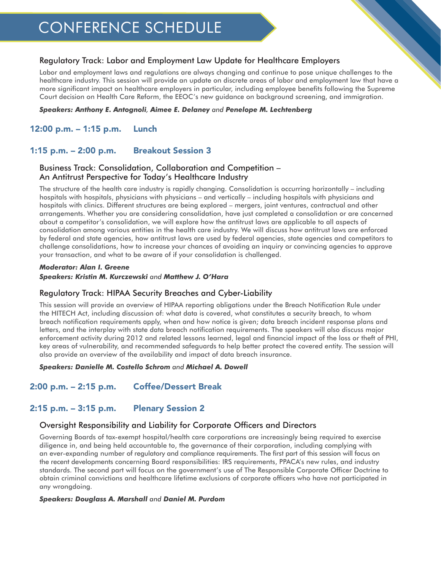# CONFERENCE SCHEDULE

#### Regulatory Track: Labor and Employment Law Update for Healthcare Employers

Labor and employment laws and regulations are always changing and continue to pose unique challenges to the healthcare industry. This session will provide an update on discrete areas of labor and employment law that have a more significant impact on healthcare employers in particular, including employee benefits following the Supreme Court decision on Health Care Reform, the EEOC's new guidance on background screening, and immigration.

#### *Speakers: Anthony E. Antognoli, Aimee E. Delaney and Penelope M. Lechtenberg*

# 12:00 p.m. – 1:15 p.m. Lunch

# 1:15 p.m. – 2:00 p.m. Breakout Session 3

#### Business Track: Consolidation, Collaboration and Competition – An Antitrust Perspective for Today's Healthcare Industry

The structure of the health care industry is rapidly changing. Consolidation is occurring horizontally – including hospitals with hospitals, physicians with physicians – and vertically – including hospitals with physicians and hospitals with clinics. Different structures are being explored – mergers, joint ventures, contractual and other arrangements. Whether you are considering consolidation, have just completed a consolidation or are concerned about a competitor's consolidation, we will explore how the antitrust laws are applicable to all aspects of consolidation among various entities in the health care industry. We will discuss how antitrust laws are enforced by federal and state agencies, how antitrust laws are used by federal agencies, state agencies and competitors to challenge consolidations, how to increase your chances of avoiding an inquiry or convincing agencies to approve your transaction, and what to be aware of if your consolidation is challenged.

#### *Moderator: Alan I. Greene Speakers: Kristin M. Kurczewski and Matthew J. O'Hara*

#### Regulatory Track: HIPAA Security Breaches and Cyber-Liability

This session will provide an overview of HIPAA reporting obligations under the Breach Notification Rule under the HITECH Act, including discussion of: what data is covered, what constitutes a security breach, to whom breach notification requirements apply, when and how notice is given; data breach incident response plans and letters, and the interplay with state data breach notification requirements. The speakers will also discuss major enforcement activity during 2012 and related lessons learned, legal and financial impact of the loss or theft of PHI, key areas of vulnerability, and recommended safeguards to help better protect the covered entity. The session will also provide an overview of the availability and impact of data breach insurance.

#### *Speakers: Danielle M. Costello Schrom and Michael A. Dowell*

# 2:00 p.m. – 2:15 p.m. Coffee/Dessert Break

# 2:15 p.m. – 3:15 p.m. Plenary Session 2

#### Oversight Responsibility and Liability for Corporate Officers and Directors

Governing Boards of tax-exempt hospital/health care corporations are increasingly being required to exercise diligence in, and being held accountable to, the governance of their corporation, including complying with an ever-expanding number of regulatory and compliance requirements. The first part of this session will focus on the recent developments concerning Board responsibilities: IRS requirements, PPACA's new rules, and industry standards. The second part will focus on the government's use of The Responsible Corporate Officer Doctrine to obtain criminal convictions and healthcare lifetime exclusions of corporate officers who have not participated in any wrongdoing.

#### *Speakers: Douglass A. Marshall and Daniel M. Purdom*